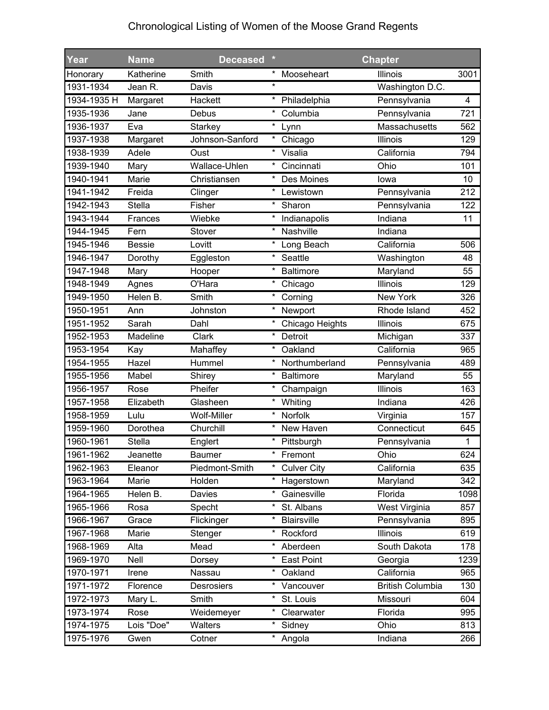## Chronological Listing of Women of the Moose Grand Regents

| Year        | <b>Name</b>   | <b>Deceased</b> |                                 | <b>Chapter</b>          |      |
|-------------|---------------|-----------------|---------------------------------|-------------------------|------|
| Honorary    | Katherine     | Smith           | $\star$<br>Mooseheart           | Illinois                | 3001 |
| 1931-1934   | Jean R.       | Davis           | $\star$                         | Washington D.C.         |      |
| 1934-1935 H | Margaret      | Hackett         | $^\star$<br>Philadelphia        | Pennsylvania            | 4    |
| 1935-1936   | Jane          | Debus           | *<br>Columbia                   | Pennsylvania            | 721  |
| 1936-1937   | Eva           | <b>Starkey</b>  | $\star$<br>Lynn                 | Massachusetts           | 562  |
| 1937-1938   | Margaret      | Johnson-Sanford | Chicago                         | Illinois                | 129  |
| 1938-1939   | Adele         | Oust            | Visalia                         | California              | 794  |
| 1939-1940   | Mary          | Wallace-Uhlen   | $^\star$<br>Cincinnati          | Ohio                    | 101  |
| 1940-1941   | Marie         | Christiansen    | $\star$<br>Des Moines           | lowa                    | 10   |
| 1941-1942   | Freida        | Clinger         | $^\star$<br>Lewistown           | Pennsylvania            | 212  |
| 1942-1943   | <b>Stella</b> | Fisher          | $^\star$<br>Sharon              | Pennsylvania            | 122  |
| 1943-1944   | Frances       | Wiebke          | Indianapolis<br>*               | Indiana                 | 11   |
| 1944-1945   | Fern          | Stover          | *<br>Nashville                  | Indiana                 |      |
| 1945-1946   | <b>Bessie</b> | Lovitt          | $^\star$<br>Long Beach          | California              | 506  |
| 1946-1947   | Dorothy       | Eggleston       | $^\star$<br>Seattle             | Washington              | 48   |
| 1947-1948   | Mary          | Hooper          | *<br><b>Baltimore</b>           | Maryland                | 55   |
| 1948-1949   | Agnes         | O'Hara          | $^\star$<br>Chicago             | Illinois                | 129  |
| 1949-1950   | Helen B.      | Smith           | $^\star$<br>Corning             | <b>New York</b>         | 326  |
| 1950-1951   | Ann           | Johnston        | *<br>Newport                    | Rhode Island            | 452  |
| 1951-1952   | Sarah         | Dahl            | Chicago Heights                 | Illinois                | 675  |
| 1952-1953   | Madeline      | Clark           | $^\star$<br>Detroit             | Michigan                | 337  |
| 1953-1954   | Kay           | Mahaffey        | $^\star$<br>Oakland             | California              | 965  |
| 1954-1955   | Hazel         | Hummel          | $^\star$<br>Northumberland      | Pennsylvania            | 489  |
| 1955-1956   | Mabel         | Shirey          | <b>Baltimore</b><br>$^\star$    | Maryland                | 55   |
| 1956-1957   | Rose          | Pheifer         | *<br>Champaign                  | Illinois                | 163  |
| 1957-1958   | Elizabeth     | Glasheen        | $^{\star}$<br>Whiting           | Indiana                 | 426  |
| 1958-1959   | Lulu          | Wolf-Miller     | $^\star$<br>Norfolk             | Virginia                | 157  |
| 1959-1960   | Dorothea      | Churchill       | $^\star$<br>New Haven           | Connecticut             | 645  |
| 1960-1961   | <b>Stella</b> | Englert         | Pittsburgh                      | Pennsylvania            | 1    |
| 1961-1962   | Jeanette      | <b>Baumer</b>   | Fremont                         | Ohio                    | 624  |
| 1962-1963   | Eleanor       | Piedmont-Smith  | <b>Culver City</b>              | California              | 635  |
| 1963-1964   | Marie         | Holden          | Hagerstown                      | Maryland                | 342  |
| 1964-1965   | Helen B.      | Davies          | *<br>Gainesville                | Florida                 | 1098 |
| 1965-1966   | Rosa          | Specht          | $\ast$<br>St. Albans            | West Virginia           | 857  |
| 1966-1967   | Grace         | Flickinger      | $^\ast$<br>Blairsville          | Pennsylvania            | 895  |
| 1967-1968   | Marie         | Stenger         | *<br>Rockford                   | Illinois                | 619  |
| 1968-1969   | Alta          | Mead            | *<br>Aberdeen                   | South Dakota            | 178  |
| 1969-1970   | Nell          | Dorsey          | $^{\star}$<br><b>East Point</b> | Georgia                 | 1239 |
| 1970-1971   | Irene         | Nassau          | $^\ast$<br>Oakland              | California              | 965  |
| 1971-1972   | Florence      | Desrosiers      | $\ast$<br>Vancouver             | <b>British Columbia</b> | 130  |
| 1972-1973   | Mary L.       | Smith           | $\ast$<br>St. Louis             | Missouri                | 604  |
| 1973-1974   | Rose          | Weidemeyer      | $^\star$<br>Clearwater          | Florida                 | 995  |
| 1974-1975   | Lois "Doe"    | Walters         | $^\ast$<br>Sidney               | Ohio                    | 813  |
| 1975-1976   | Gwen          | Cotner          | *<br>Angola                     | Indiana                 | 266  |